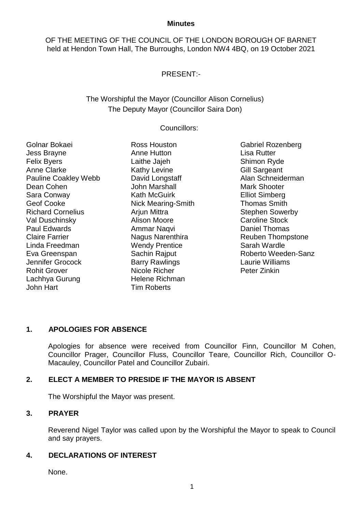#### **Minutes**

OF THE MEETING OF THE COUNCIL OF THE LONDON BOROUGH OF BARNET held at Hendon Town Hall, The Burroughs, London NW4 4BQ, on 19 October 2021

# PRESENT:-

# The Worshipful the Mayor (Councillor Alison Cornelius) The Deputy Mayor (Councillor Saira Don)

#### Councillors:

Golnar Bokaei Jess Brayne Felix Byers Anne Clarke Pauline Coakley Webb Dean Cohen Sara Conway Geof Cooke Richard Cornelius Val Duschinsky Paul Edwards Claire Farrier Linda Freedman Eva Greenspan Jennifer Grocock Rohit Grover Lachhya Gurung John Hart

Ross Houston Anne Hutton Laithe Jajeh Kathy Levine David Longstaff John Marshall Kath McGuirk Nick Mearing-Smith Arjun Mittra Alison Moore Ammar Naqvi Nagus Narenthira Wendy Prentice Sachin Rajput Barry Rawlings Nicole Richer Helene Richman Tim Roberts

Gabriel Rozenberg Lisa Rutter Shimon Ryde Gill Sargeant Alan Schneiderman Mark Shooter Elliot Simberg Thomas Smith Stephen Sowerby Caroline Stock Daniel Thomas Reuben Thompstone Sarah Wardle Roberto Weeden-Sanz Laurie Williams Peter Zinkin

# **1. APOLOGIES FOR ABSENCE**

Apologies for absence were received from Councillor Finn, Councillor M Cohen, Councillor Prager, Councillor Fluss, Councillor Teare, Councillor Rich, Councillor O-Macauley, Councillor Patel and Councillor Zubairi.

# **2. ELECT A MEMBER TO PRESIDE IF THE MAYOR IS ABSENT**

The Worshipful the Mayor was present.

#### **3. PRAYER**

Reverend Nigel Taylor was called upon by the Worshipful the Mayor to speak to Council and say prayers.

#### **4. DECLARATIONS OF INTEREST**

None.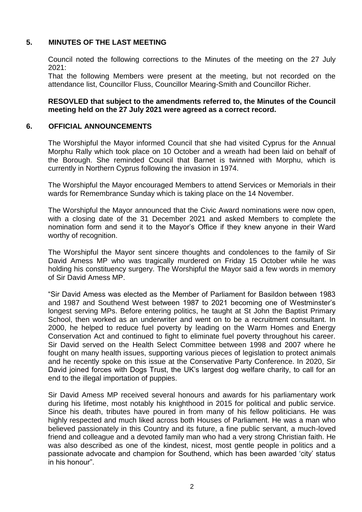# **5. MINUTES OF THE LAST MEETING**

Council noted the following corrections to the Minutes of the meeting on the 27 July 2021:

That the following Members were present at the meeting, but not recorded on the attendance list, Councillor Fluss, Councillor Mearing-Smith and Councillor Richer.

#### **RESOVLED that subject to the amendments referred to, the Minutes of the Council meeting held on the 27 July 2021 were agreed as a correct record.**

#### **6. OFFICIAL ANNOUNCEMENTS**

The Worshipful the Mayor informed Council that she had visited Cyprus for the Annual Morphu Rally which took place on 10 October and a wreath had been laid on behalf of the Borough. She reminded Council that Barnet is twinned with Morphu, which is currently in Northern Cyprus following the invasion in 1974.

The Worshipful the Mayor encouraged Members to attend Services or Memorials in their wards for Remembrance Sunday which is taking place on the 14 November.

The Worshipful the Mayor announced that the Civic Award nominations were now open, with a closing date of the 31 December 2021 and asked Members to complete the nomination form and send it to the Mayor's Office if they knew anyone in their Ward worthy of recognition.

The Worshipful the Mayor sent sincere thoughts and condolences to the family of Sir David Amess MP who was tragically murdered on Friday 15 October while he was holding his constituency surgery. The Worshipful the Mayor said a few words in memory of Sir David Amess MP.

"Sir David Amess was elected as the Member of Parliament for Basildon between 1983 and 1987 and Southend West between 1987 to 2021 becoming one of Westminster's longest serving MPs. Before entering politics, he taught at St John the Baptist Primary School, then worked as an underwriter and went on to be a recruitment consultant. In 2000, he helped to reduce fuel poverty by leading on the Warm Homes and Energy Conservation Act and continued to fight to eliminate fuel poverty throughout his career. Sir David served on the Health Select Committee between 1998 and 2007 where he fought on many health issues, supporting various pieces of legislation to protect animals and he recently spoke on this issue at the Conservative Party Conference. In 2020, Sir David joined forces with Dogs Trust, the UK's largest dog welfare charity, to call for an end to the illegal importation of puppies.

Sir David Amess MP received several honours and awards for his parliamentary work during his lifetime, most notably his knighthood in 2015 for political and public service. Since his death, tributes have poured in from many of his fellow politicians. He was highly respected and much liked across both Houses of Parliament. He was a man who believed passionately in this Country and its future, a fine public servant, a much-loved friend and colleague and a devoted family man who had a very strong Christian faith. He was also described as one of the kindest, nicest, most gentle people in politics and a passionate advocate and champion for Southend, which has been awarded 'city' status in his honour".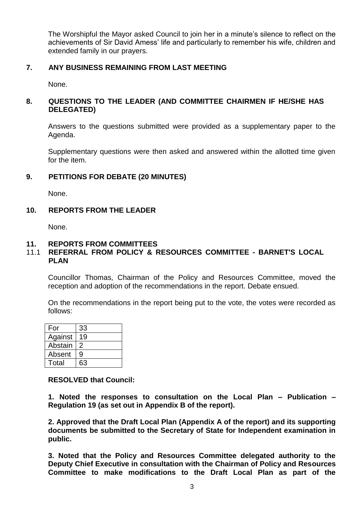The Worshipful the Mayor asked Council to join her in a minute's silence to reflect on the achievements of Sir David Amess' life and particularly to remember his wife, children and extended family in our prayers.

### **7. ANY BUSINESS REMAINING FROM LAST MEETING**

None.

## **8. QUESTIONS TO THE LEADER (AND COMMITTEE CHAIRMEN IF HE/SHE HAS DELEGATED)**

Answers to the questions submitted were provided as a supplementary paper to the Agenda.

Supplementary questions were then asked and answered within the allotted time given for the item.

## **9. PETITIONS FOR DEBATE (20 MINUTES)**

None.

## **10. REPORTS FROM THE LEADER**

None.

#### **11. REPORTS FROM COMMITTEES**

### 11.1 **REFERRAL FROM POLICY & RESOURCES COMMITTEE - BARNET'S LOCAL PLAN**

Councillor Thomas, Chairman of the Policy and Resources Committee, moved the reception and adoption of the recommendations in the report. Debate ensued.

On the recommendations in the report being put to the vote, the votes were recorded as follows:

| For     | 33 |
|---------|----|
| Against | 19 |
| Abstain | 2  |
| Absent  | g  |
| Total   | 63 |

**RESOLVED that Council:**

**1. Noted the responses to consultation on the Local Plan – Publication – Regulation 19 (as set out in Appendix B of the report).**

**2. Approved that the Draft Local Plan (Appendix A of the report) and its supporting documents be submitted to the Secretary of State for Independent examination in public.**

**3. Noted that the Policy and Resources Committee delegated authority to the Deputy Chief Executive in consultation with the Chairman of Policy and Resources Committee to make modifications to the Draft Local Plan as part of the**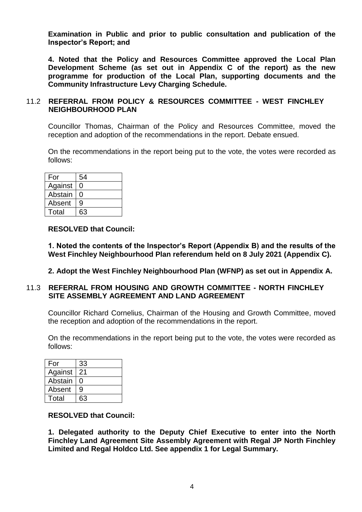**Examination in Public and prior to public consultation and publication of the Inspector's Report; and**

**4. Noted that the Policy and Resources Committee approved the Local Plan Development Scheme (as set out in Appendix C of the report) as the new programme for production of the Local Plan, supporting documents and the Community Infrastructure Levy Charging Schedule.**

### 11.2 **REFERRAL FROM POLICY & RESOURCES COMMITTEE - WEST FINCHLEY NEIGHBOURHOOD PLAN**

Councillor Thomas, Chairman of the Policy and Resources Committee, moved the reception and adoption of the recommendations in the report. Debate ensued.

On the recommendations in the report being put to the vote, the votes were recorded as follows:

| For     | 54 |
|---------|----|
| Against | O  |
| Abstain | O  |
| Absent  | 9  |
| Total   | 63 |

#### **RESOLVED that Council:**

**1. Noted the contents of the Inspector's Report (Appendix B) and the results of the West Finchley Neighbourhood Plan referendum held on 8 July 2021 (Appendix C).**

#### **2. Adopt the West Finchley Neighbourhood Plan (WFNP) as set out in Appendix A.**

#### 11.3 **REFERRAL FROM HOUSING AND GROWTH COMMITTEE - NORTH FINCHLEY SITE ASSEMBLY AGREEMENT AND LAND AGREEMENT**

Councillor Richard Cornelius, Chairman of the Housing and Growth Committee, moved the reception and adoption of the recommendations in the report.

On the recommendations in the report being put to the vote, the votes were recorded as follows:

| For     | 33 |
|---------|----|
| Against | 21 |
| Abstain |    |
| Absent  | 9  |
| Total   | 63 |

#### **RESOLVED that Council:**

**1. Delegated authority to the Deputy Chief Executive to enter into the North Finchley Land Agreement Site Assembly Agreement with Regal JP North Finchley Limited and Regal Holdco Ltd. See appendix 1 for Legal Summary.**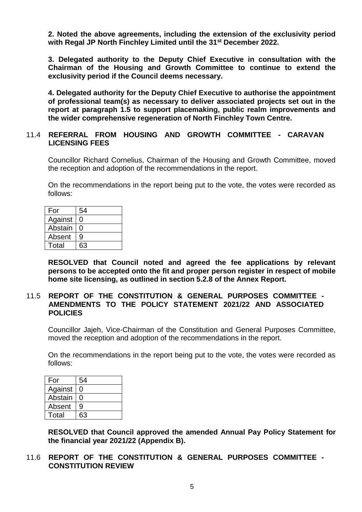**2. Noted the above agreements, including the extension of the exclusivity period with Regal JP North Finchley Limited until the 31st December 2022.**

**3. Delegated authority to the Deputy Chief Executive in consultation with the Chairman of the Housing and Growth Committee to continue to extend the exclusivity period if the Council deems necessary.**

**4. Delegated authority for the Deputy Chief Executive to authorise the appointment of professional team(s) as necessary to deliver associated projects set out in the report at paragraph 1.5 to support placemaking, public realm improvements and the wider comprehensive regeneration of North Finchley Town Centre.** 

#### 11.4 **REFERRAL FROM HOUSING AND GROWTH COMMITTEE - CARAVAN LICENSING FEES**

Councillor Richard Cornelius, Chairman of the Housing and Growth Committee, moved the reception and adoption of the recommendations in the report.

On the recommendations in the report being put to the vote, the votes were recorded as follows:

| For     | 54 |
|---------|----|
| Against | 0  |
| Abstain | O  |
| Absent  | 9  |
| Total   | 63 |

**RESOLVED that Council noted and agreed the fee applications by relevant persons to be accepted onto the fit and proper person register in respect of mobile home site licensing, as outlined in section 5.2.8 of the Annex Report.**

#### 11.5 **REPORT OF THE CONSTITUTION & GENERAL PURPOSES COMMITTEE - AMENDMENTS TO THE POLICY STATEMENT 2021/22 AND ASSOCIATED POLICIES**

Councillor Jajeh, Vice-Chairman of the Constitution and General Purposes Committee, moved the reception and adoption of the recommendations in the report.

On the recommendations in the report being put to the vote, the votes were recorded as follows:

| For     | 54 |
|---------|----|
| Against |    |
| Abstain |    |
| Absent  | g  |
| Total   | 63 |

**RESOLVED that Council approved the amended Annual Pay Policy Statement for the financial year 2021/22 (Appendix B).**

11.6 **REPORT OF THE CONSTITUTION & GENERAL PURPOSES COMMITTEE - CONSTITUTION REVIEW**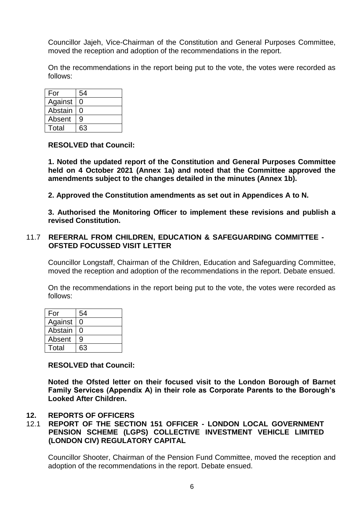Councillor Jajeh, Vice-Chairman of the Constitution and General Purposes Committee, moved the reception and adoption of the recommendations in the report.

On the recommendations in the report being put to the vote, the votes were recorded as follows:

| For     | 54 |
|---------|----|
| Against | 0  |
| Abstain | ი  |
| Absent  | 9  |
| Total   | 63 |

#### **RESOLVED that Council:**

**1. Noted the updated report of the Constitution and General Purposes Committee held on 4 October 2021 (Annex 1a) and noted that the Committee approved the amendments subject to the changes detailed in the minutes (Annex 1b).**

**2. Approved the Constitution amendments as set out in Appendices A to N.**

**3. Authorised the Monitoring Officer to implement these revisions and publish a revised Constitution.** 

#### 11.7 **REFERRAL FROM CHILDREN, EDUCATION & SAFEGUARDING COMMITTEE - OFSTED FOCUSSED VISIT LETTER**

Councillor Longstaff, Chairman of the Children, Education and Safeguarding Committee, moved the reception and adoption of the recommendations in the report. Debate ensued.

On the recommendations in the report being put to the vote, the votes were recorded as follows:

| For     | 54 |
|---------|----|
| Against | O  |
| Abstain | O  |
| Absent  | g  |
| Total   | 63 |

**RESOLVED that Council:**

**Noted the Ofsted letter on their focused visit to the London Borough of Barnet Family Services (Appendix A) in their role as Corporate Parents to the Borough's Looked After Children.** 

#### **12. REPORTS OF OFFICERS**

## 12.1 **REPORT OF THE SECTION 151 OFFICER - LONDON LOCAL GOVERNMENT PENSION SCHEME (LGPS) COLLECTIVE INVESTMENT VEHICLE LIMITED (LONDON CIV) REGULATORY CAPITAL**

Councillor Shooter, Chairman of the Pension Fund Committee, moved the reception and adoption of the recommendations in the report. Debate ensued.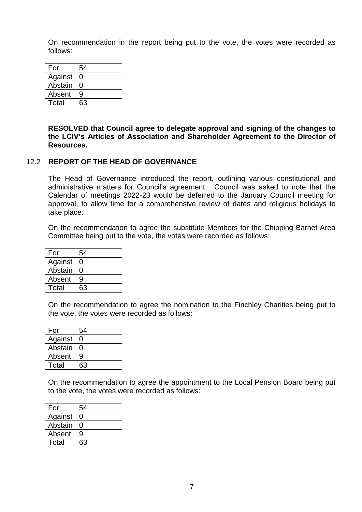On recommendation in the report being put to the vote, the votes were recorded as follows:

| For     | 54 |
|---------|----|
| Against | O  |
| Abstain | 0  |
| Absent  | 9  |
| Total   | 63 |

**RESOLVED that Council agree to delegate approval and signing of the changes to the LCIV's Articles of Association and Shareholder Agreement to the Director of Resources.**

## 12.2 **REPORT OF THE HEAD OF GOVERNANCE**

The Head of Governance introduced the report, outlining various constitutional and administrative matters for Council's agreement. Council was asked to note that the Calendar of meetings 2022-23 would be deferred to the January Council meeting for approval, to allow time for a comprehensive review of dates and religious holidays to take place.

On the recommendation to agree the substitute Members for the Chipping Barnet Area Committee being put to the vote, the votes were recorded as follows:

| For     | 54 |
|---------|----|
| Against | ი  |
| Abstain | O  |
| Absent  | 9  |
| Total   | 63 |

On the recommendation to agree the nomination to the Finchley Charities being put to the vote, the votes were recorded as follows:

| For     | 54 |
|---------|----|
| Against |    |
| Abstain | 0  |
| Absent  | g  |
| Total   | 63 |

On the recommendation to agree the appointment to the Local Pension Board being put to the vote, the votes were recorded as follows:

| For     | 54 |
|---------|----|
| Against | O  |
| Abstain | ∩  |
| Absent  | 9  |
| Total   | 63 |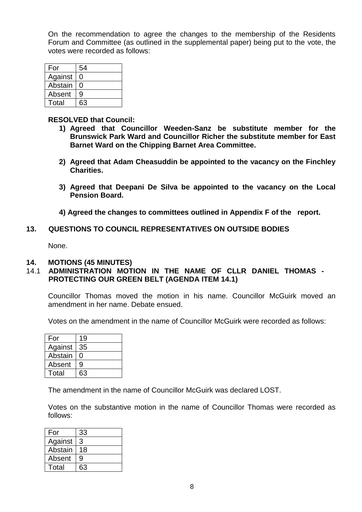On the recommendation to agree the changes to the membership of the Residents Forum and Committee (as outlined in the supplemental paper) being put to the vote, the votes were recorded as follows:

| For     | 54 |
|---------|----|
| Against | O  |
| Abstain | O  |
| Absent  | 9  |
| Total   | 63 |

#### **RESOLVED that Council:**

- **1) Agreed that Councillor Weeden-Sanz be substitute member for the Brunswick Park Ward and Councillor Richer the substitute member for East Barnet Ward on the Chipping Barnet Area Committee.**
- **2) Agreed that Adam Cheasuddin be appointed to the vacancy on the Finchley Charities.**
- **3) Agreed that Deepani De Silva be appointed to the vacancy on the Local Pension Board.**
- **4) Agreed the changes to committees outlined in Appendix F of the report.**

#### **13. QUESTIONS TO COUNCIL REPRESENTATIVES ON OUTSIDE BODIES**

None.

#### **14. MOTIONS (45 MINUTES)**

## 14.1 **ADMINISTRATION MOTION IN THE NAME OF CLLR DANIEL THOMAS - PROTECTING OUR GREEN BELT (AGENDA ITEM 14.1)**

Councillor Thomas moved the motion in his name. Councillor McGuirk moved an amendment in her name. Debate ensued.

Votes on the amendment in the name of Councillor McGuirk were recorded as follows:

| For     | 19 |
|---------|----|
| Against | 35 |
| Abstain | 0  |
| Absent  | 9  |
| Total   | 63 |

The amendment in the name of Councillor McGuirk was declared LOST.

Votes on the substantive motion in the name of Councillor Thomas were recorded as follows:

| For     | 33 |
|---------|----|
| Against | 3  |
| Abstain | 18 |
| Absent  | 9  |
| Total   | 63 |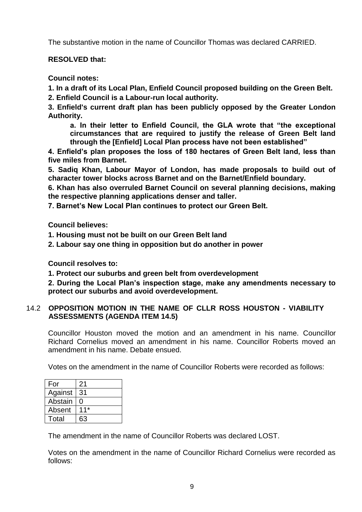The substantive motion in the name of Councillor Thomas was declared CARRIED.

# **RESOLVED that:**

**Council notes:** 

**1. In a draft of its Local Plan, Enfield Council proposed building on the Green Belt.** 

**2. Enfield Council is a Labour-run local authority.** 

**3. Enfield's current draft plan has been publicly opposed by the Greater London Authority.** 

**a. In their letter to Enfield Council, the GLA wrote that "the exceptional circumstances that are required to justify the release of Green Belt land through the [Enfield] Local Plan process have not been established"** 

**4. Enfield's plan proposes the loss of 180 hectares of Green Belt land, less than five miles from Barnet.**

**5. Sadiq Khan, Labour Mayor of London, has made proposals to build out of character tower blocks across Barnet and on the Barnet/Enfield boundary.** 

**6. Khan has also overruled Barnet Council on several planning decisions, making the respective planning applications denser and taller.** 

**7. Barnet's New Local Plan continues to protect our Green Belt.**

**Council believes:** 

**1. Housing must not be built on our Green Belt land** 

**2. Labour say one thing in opposition but do another in power** 

**Council resolves to:** 

**1. Protect our suburbs and green belt from overdevelopment** 

**2. During the Local Plan's inspection stage, make any amendments necessary to protect our suburbs and avoid overdevelopment.**

# 14.2 **OPPOSITION MOTION IN THE NAME OF CLLR ROSS HOUSTON - VIABILITY ASSESSMENTS (AGENDA ITEM 14.5)**

Councillor Houston moved the motion and an amendment in his name. Councillor Richard Cornelius moved an amendment in his name. Councillor Roberts moved an amendment in his name. Debate ensued.

Votes on the amendment in the name of Councillor Roberts were recorded as follows:

| For     | 21    |
|---------|-------|
| Against | 31    |
| Abstain | O     |
| Absent  | $11*$ |
| Total   | 63    |

The amendment in the name of Councillor Roberts was declared LOST.

Votes on the amendment in the name of Councillor Richard Cornelius were recorded as follows: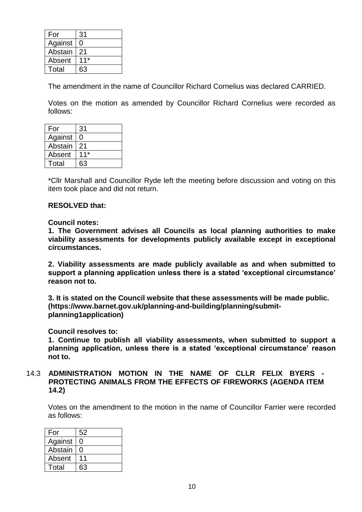| For     | 31    |
|---------|-------|
| Against | 0     |
| Abstain | 21    |
| Absent  | $11*$ |
| Total   | 63    |

The amendment in the name of Councillor Richard Cornelius was declared CARRIED.

Votes on the motion as amended by Councillor Richard Cornelius were recorded as follows:

| For     | 31    |
|---------|-------|
| Against | 0     |
| Abstain | 21    |
| Absent  | $11*$ |
| Total   | 63    |

\*Cllr Marshall and Councillor Ryde left the meeting before discussion and voting on this item took place and did not return.

#### **RESOLVED that:**

#### **Council notes:**

**1. The Government advises all Councils as local planning authorities to make viability assessments for developments publicly available except in exceptional circumstances.**

**2. Viability assessments are made publicly available as and when submitted to support a planning application unless there is a stated 'exceptional circumstance' reason not to.**

**3. It is stated on the Council website that these assessments will be made public. (https://www.barnet.gov.uk/planning-and-building/planning/submitplanning1application)**

**Council resolves to:**

**1. Continue to publish all viability assessments, when submitted to support a planning application, unless there is a stated 'exceptional circumstance' reason not to.** 

14.3 **ADMINISTRATION MOTION IN THE NAME OF CLLR FELIX BYERS - PROTECTING ANIMALS FROM THE EFFECTS OF FIREWORKS (AGENDA ITEM 14.2)**

Votes on the amendment to the motion in the name of Councillor Farrier were recorded as follows:

| For     | 52 |
|---------|----|
| Against | O  |
| Abstain | O  |
| Absent  | 11 |
| Total   | 63 |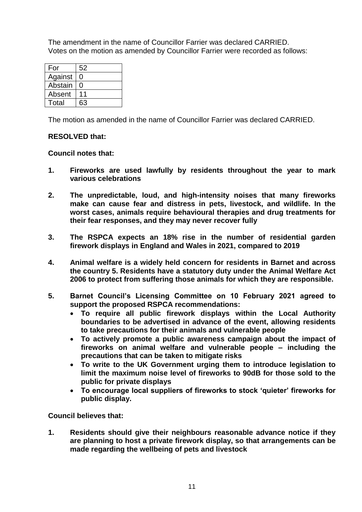The amendment in the name of Councillor Farrier was declared CARRIED. Votes on the motion as amended by Councillor Farrier were recorded as follows:

| For     | 52 |
|---------|----|
| Against | O  |
| Abstain | O  |
| Absent  | 11 |
| Total   | 63 |

The motion as amended in the name of Councillor Farrier was declared CARRIED.

## **RESOLVED that:**

#### **Council notes that:**

- **1. Fireworks are used lawfully by residents throughout the year to mark various celebrations**
- **2. The unpredictable, loud, and high-intensity noises that many fireworks make can cause fear and distress in pets, livestock, and wildlife. In the worst cases, animals require behavioural therapies and drug treatments for their fear responses, and they may never recover fully**
- **3. The RSPCA expects an 18% rise in the number of residential garden firework displays in England and Wales in 2021, compared to 2019**
- **4. Animal welfare is a widely held concern for residents in Barnet and across the country 5. Residents have a statutory duty under the Animal Welfare Act 2006 to protect from suffering those animals for which they are responsible.**
- **5. Barnet Council's Licensing Committee on 10 February 2021 agreed to support the proposed RSPCA recommendations:** 
	- **To require all public firework displays within the Local Authority boundaries to be advertised in advance of the event, allowing residents to take precautions for their animals and vulnerable people**
	- **To actively promote a public awareness campaign about the impact of fireworks on animal welfare and vulnerable people – including the precautions that can be taken to mitigate risks**
	- **To write to the UK Government urging them to introduce legislation to limit the maximum noise level of fireworks to 90dB for those sold to the public for private displays**
	- **To encourage local suppliers of fireworks to stock 'quieter' fireworks for public display.**

**Council believes that:** 

**1. Residents should give their neighbours reasonable advance notice if they are planning to host a private firework display, so that arrangements can be made regarding the wellbeing of pets and livestock**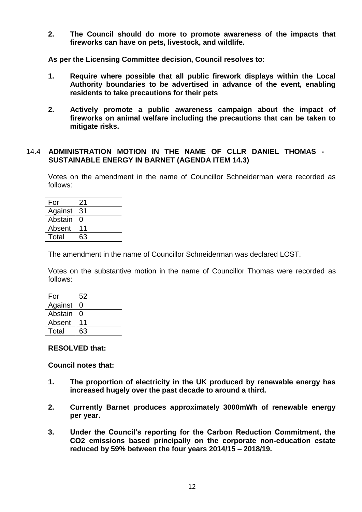**2. The Council should do more to promote awareness of the impacts that fireworks can have on pets, livestock, and wildlife.** 

**As per the Licensing Committee decision, Council resolves to:**

- **1. Require where possible that all public firework displays within the Local Authority boundaries to be advertised in advance of the event, enabling residents to take precautions for their pets**
- **2. Actively promote a public awareness campaign about the impact of fireworks on animal welfare including the precautions that can be taken to mitigate risks.**

### 14.4 **ADMINISTRATION MOTION IN THE NAME OF CLLR DANIEL THOMAS - SUSTAINABLE ENERGY IN BARNET (AGENDA ITEM 14.3)**

Votes on the amendment in the name of Councillor Schneiderman were recorded as follows:

| For     | 21 |
|---------|----|
| Against | 31 |
| Abstain | O  |
| Absent  | 11 |
| Total   | 63 |

The amendment in the name of Councillor Schneiderman was declared LOST.

Votes on the substantive motion in the name of Councillor Thomas were recorded as follows:

| For     | 52 |
|---------|----|
| Against | O  |
| Abstain | O  |
| Absent  |    |
| Total   | 63 |

#### **RESOLVED that:**

**Council notes that:** 

- **1. The proportion of electricity in the UK produced by renewable energy has increased hugely over the past decade to around a third.**
- **2. Currently Barnet produces approximately 3000mWh of renewable energy per year.**
- **3. Under the Council's reporting for the Carbon Reduction Commitment, the CO2 emissions based principally on the corporate non-education estate reduced by 59% between the four years 2014/15 – 2018/19.**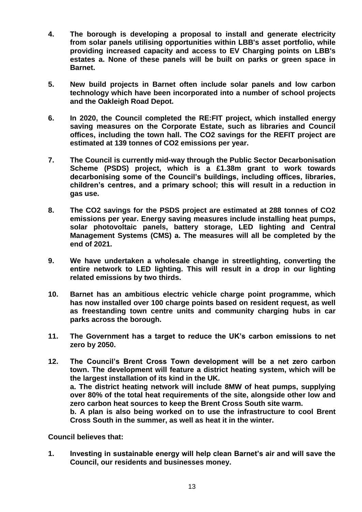- **4. The borough is developing a proposal to install and generate electricity from solar panels utilising opportunities within LBB's asset portfolio, while providing increased capacity and access to EV Charging points on LBB's estates a. None of these panels will be built on parks or green space in Barnet.**
- **5. New build projects in Barnet often include solar panels and low carbon technology which have been incorporated into a number of school projects and the Oakleigh Road Depot.**
- **6. In 2020, the Council completed the RE:FIT project, which installed energy saving measures on the Corporate Estate, such as libraries and Council offices, including the town hall. The CO2 savings for the REFIT project are estimated at 139 tonnes of CO2 emissions per year.**
- **7. The Council is currently mid-way through the Public Sector Decarbonisation Scheme (PSDS) project, which is a £1.38m grant to work towards decarbonising some of the Council's buildings, including offices, libraries, children's centres, and a primary school; this will result in a reduction in gas use.**
- **8. The CO2 savings for the PSDS project are estimated at 288 tonnes of CO2 emissions per year. Energy saving measures include installing heat pumps, solar photovoltaic panels, battery storage, LED lighting and Central Management Systems (CMS) a. The measures will all be completed by the end of 2021.**
- **9. We have undertaken a wholesale change in streetlighting, converting the entire network to LED lighting. This will result in a drop in our lighting related emissions by two thirds.**
- **10. Barnet has an ambitious electric vehicle charge point programme, which has now installed over 100 charge points based on resident request, as well as freestanding town centre units and community charging hubs in car parks across the borough.**
- **11. The Government has a target to reduce the UK's carbon emissions to net zero by 2050.**
- **12. The Council's Brent Cross Town development will be a net zero carbon town. The development will feature a district heating system, which will be the largest installation of its kind in the UK. a. The district heating network will include 8MW of heat pumps, supplying over 80% of the total heat requirements of the site, alongside other low and zero carbon heat sources to keep the Brent Cross South site warm. b. A plan is also being worked on to use the infrastructure to cool Brent Cross South in the summer, as well as heat it in the winter.**

**Council believes that:** 

**1. Investing in sustainable energy will help clean Barnet's air and will save the Council, our residents and businesses money.**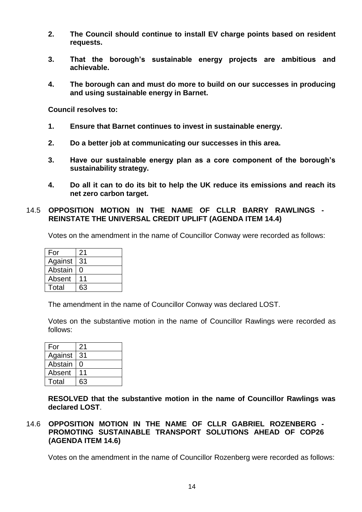- **2. The Council should continue to install EV charge points based on resident requests.**
- **3. That the borough's sustainable energy projects are ambitious and achievable.**
- **4. The borough can and must do more to build on our successes in producing and using sustainable energy in Barnet.**

**Council resolves to:** 

- **1. Ensure that Barnet continues to invest in sustainable energy.**
- **2. Do a better job at communicating our successes in this area.**
- **3. Have our sustainable energy plan as a core component of the borough's sustainability strategy.**
- **4. Do all it can to do its bit to help the UK reduce its emissions and reach its net zero carbon target.**

#### 14.5 **OPPOSITION MOTION IN THE NAME OF CLLR BARRY RAWLINGS - REINSTATE THE UNIVERSAL CREDIT UPLIFT (AGENDA ITEM 14.4)**

Votes on the amendment in the name of Councillor Conway were recorded as follows:

| For     | 21 |
|---------|----|
| Against | 31 |
| Abstain | O  |
| Absent  | 11 |
| Total   | 63 |

The amendment in the name of Councillor Conway was declared LOST.

Votes on the substantive motion in the name of Councillor Rawlings were recorded as follows:

| For     | 21 |
|---------|----|
| Against | 31 |
| Abstain | O  |
| Absent  | 11 |
| Total   | 63 |

**RESOLVED that the substantive motion in the name of Councillor Rawlings was declared LOST**.

## 14.6 **OPPOSITION MOTION IN THE NAME OF CLLR GABRIEL ROZENBERG - PROMOTING SUSTAINABLE TRANSPORT SOLUTIONS AHEAD OF COP26 (AGENDA ITEM 14.6)**

Votes on the amendment in the name of Councillor Rozenberg were recorded as follows: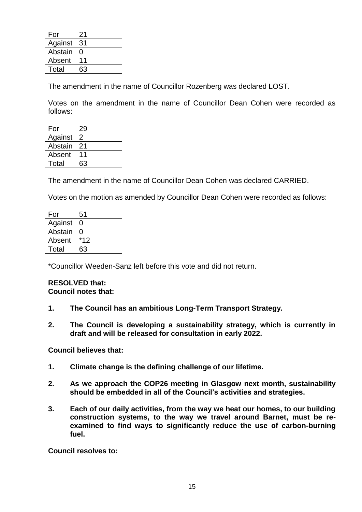| For     | 21 |
|---------|----|
| Against | 31 |
| Abstain | O  |
| Absent  |    |
| Total   | 63 |

The amendment in the name of Councillor Rozenberg was declared LOST.

Votes on the amendment in the name of Councillor Dean Cohen were recorded as follows:

| For     | 29 |
|---------|----|
| Against | 2  |
| Abstain | 21 |
| Absent  |    |
| Total   | 63 |

The amendment in the name of Councillor Dean Cohen was declared CARRIED.

Votes on the motion as amended by Councillor Dean Cohen were recorded as follows:

| For     | 51    |
|---------|-------|
| Against | ი     |
| Abstain | O     |
| Absent  | $*12$ |
| Total   | 63    |

\*Councillor Weeden-Sanz left before this vote and did not return.

#### **RESOLVED that: Council notes that:**

- **1. The Council has an ambitious Long-Term Transport Strategy.**
- **2. The Council is developing a sustainability strategy, which is currently in draft and will be released for consultation in early 2022.**

**Council believes that:** 

- **1. Climate change is the defining challenge of our lifetime.**
- **2. As we approach the COP26 meeting in Glasgow next month, sustainability should be embedded in all of the Council's activities and strategies.**
- **3. Each of our daily activities, from the way we heat our homes, to our building construction systems, to the way we travel around Barnet, must be reexamined to find ways to significantly reduce the use of carbon-burning fuel.**

**Council resolves to:**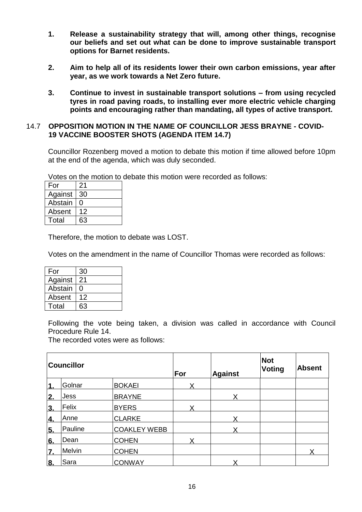- **1. Release a sustainability strategy that will, among other things, recognise our beliefs and set out what can be done to improve sustainable transport options for Barnet residents.**
- **2. Aim to help all of its residents lower their own carbon emissions, year after year, as we work towards a Net Zero future.**
- **3. Continue to invest in sustainable transport solutions – from using recycled tyres in road paving roads, to installing ever more electric vehicle charging points and encouraging rather than mandating, all types of active transport.**

### 14.7 **OPPOSITION MOTION IN THE NAME OF COUNCILLOR JESS BRAYNE - COVID-19 VACCINE BOOSTER SHOTS (AGENDA ITEM 14.7)**

Councillor Rozenberg moved a motion to debate this motion if time allowed before 10pm at the end of the agenda, which was duly seconded.

Votes on the motion to debate this motion were recorded as follows:

| For     | 21 |
|---------|----|
| Against | 30 |
| Abstain | O  |
| Absent  | 12 |
| Total   | 63 |

Therefore, the motion to debate was LOST.

Votes on the amendment in the name of Councillor Thomas were recorded as follows:

| For     | 30 |
|---------|----|
| Against | 21 |
| Abstain | O  |
| Absent  | 12 |
| Total   | 63 |

Following the vote being taken, a division was called in accordance with Council Procedure Rule 14.

The recorded votes were as follows:

|            | <b>Councillor</b> |                     | For | <b>Against</b> | <b>Not</b><br><b>Voting</b> | <b>Absent</b> |
|------------|-------------------|---------------------|-----|----------------|-----------------------------|---------------|
| 1          | Golnar            | <b>BOKAEI</b>       | x   |                |                             |               |
| 2.         | <b>Jess</b>       | <b>BRAYNE</b>       |     | x              |                             |               |
| 3.         | Felix             | <b>BYERS</b>        |     |                |                             |               |
| 4.         | Anne              | <b>CLARKE</b>       |     | Y              |                             |               |
| 5.         | Pauline           | <b>COAKLEY WEBB</b> |     |                |                             |               |
| 6.         | Dean              | <b>COHEN</b>        |     |                |                             |               |
| <u>l7.</u> | Melvin            | <b>COHEN</b>        |     |                |                             | Χ             |
| 8.         | Sara              | <b>CONWAY</b>       |     |                |                             |               |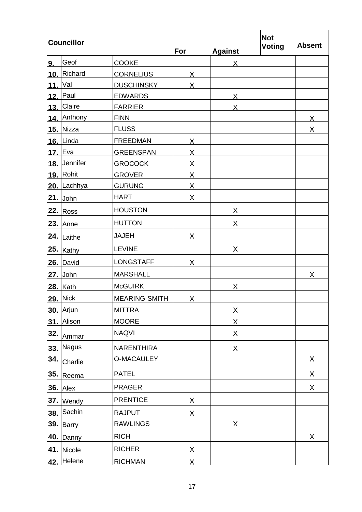| <b>Councillor</b> |                  | For               | <b>Against</b>          | <b>Not</b><br><b>Voting</b> | <b>Absent</b> |                         |
|-------------------|------------------|-------------------|-------------------------|-----------------------------|---------------|-------------------------|
| 9.                | Geof             | <b>COOKE</b>      |                         | X                           |               |                         |
|                   | 10. Richard      | <b>CORNELIUS</b>  | $\sf X$                 |                             |               |                         |
| 11. Val           |                  | <b>DUSCHINSKY</b> | X                       |                             |               |                         |
| 12.               | Paul             | <b>EDWARDS</b>    |                         | X                           |               |                         |
|                   | 13. Claire       | <b>FARRIER</b>    |                         | X                           |               |                         |
|                   | 14. Anthony      | <b>FINN</b>       |                         |                             |               | $\overline{\mathsf{X}}$ |
|                   | 15. Nizza        | <b>FLUSS</b>      |                         |                             |               | X                       |
|                   | 16. Linda        | <b>FREEDMAN</b>   | Χ                       |                             |               |                         |
|                   | 17. Eva          | <b>GREENSPAN</b>  | $\overline{\mathsf{X}}$ |                             |               |                         |
|                   | 18. Jennifer     | <b>GROCOCK</b>    | $\overline{X}$          |                             |               |                         |
|                   | 19. Rohit        | <b>GROVER</b>     | <u>X</u>                |                             |               |                         |
|                   | 20. Lachhya      | <b>GURUNG</b>     | $\overline{X}$          |                             |               |                         |
|                   | $21.$ John       | <b>HART</b>       | X                       |                             |               |                         |
|                   | <b>22. Ross</b>  | <b>HOUSTON</b>    |                         | X                           |               |                         |
|                   | $23.$ Anne       | <b>HUTTON</b>     |                         | X                           |               |                         |
|                   | 24. Laithe       | <b>JAJEH</b>      | X                       |                             |               |                         |
|                   | $25.$ Kathy      | <b>LEVINE</b>     |                         | X                           |               |                         |
|                   | $26.$ David      | <b>LONGSTAFF</b>  | X                       |                             |               |                         |
|                   | $27.$ John       | <b>MARSHALL</b>   |                         |                             |               | X                       |
|                   | $28.$ Kath       | <b>McGUIRK</b>    |                         | X                           |               |                         |
|                   | 29. Nick         | MEARING-SMITH     | X                       |                             |               |                         |
|                   | <b>30. Arjun</b> | <b>MITTRA</b>     |                         | Χ                           |               |                         |
|                   | 31. Alison       | <b>MOORE</b>      |                         | Χ                           |               |                         |
| 32.               | Ammar            | <b>NAQVI</b>      |                         | X                           |               |                         |
| 33.               | <b>Nagus</b>     | <b>NARENTHIRA</b> |                         | $\mathsf{X}$                |               |                         |
| 34.               | Charlie          | <b>O-MACAULEY</b> |                         |                             |               | X                       |
|                   | 35. Reema        | <b>PATEL</b>      |                         |                             |               | X                       |
|                   | <b>36.</b> Alex  | <b>PRAGER</b>     |                         |                             |               | X                       |
|                   | 37. Wendy        | <b>PRENTICE</b>   | X                       |                             |               |                         |
|                   | 38. Sachin       | <b>RAJPUT</b>     | $\overline{X}$          |                             |               |                         |
|                   | 39. Barry        | <b>RAWLINGS</b>   |                         | X                           |               |                         |
|                   | <b>40.</b> Danny | <b>RICH</b>       |                         |                             |               | X                       |
|                   | 41. Nicole       | <b>RICHER</b>     | X                       |                             |               |                         |
|                   | 42. Helene       | <b>RICHMAN</b>    | $\overline{\mathsf{X}}$ |                             |               |                         |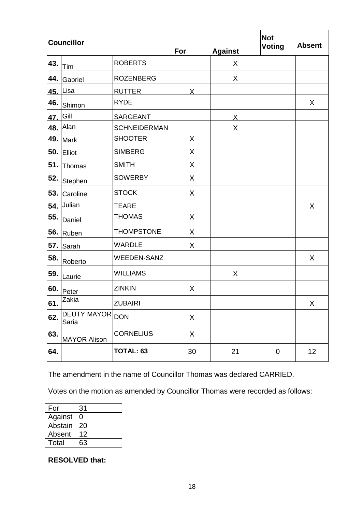|     | <b>Councillor</b>           |                     | For     | <b>Against</b> | <b>Not</b><br><b>Voting</b> | <b>Absent</b> |
|-----|-----------------------------|---------------------|---------|----------------|-----------------------------|---------------|
| 43. | Tim                         | <b>ROBERTS</b>      |         | X              |                             |               |
| 44. | Gabriel                     | <b>ROZENBERG</b>    |         | X              |                             |               |
| 45. | Lisa                        | <b>RUTTER</b>       | X       |                |                             |               |
| 46. | Shimon                      | <b>RYDE</b>         |         |                |                             | X             |
| 47. | Gill                        | <b>SARGEANT</b>     |         | X              |                             |               |
|     | 48. Alan                    | <b>SCHNEIDERMAN</b> |         |                |                             |               |
| 49. | <b>Mark</b>                 | <b>SHOOTER</b>      | X       |                |                             |               |
| 50. | Elliot                      | <b>SIMBERG</b>      | X       |                |                             |               |
| 51. | Thomas                      | <b>SMITH</b>        | X       |                |                             |               |
| 52. | Stephen                     | <b>SOWERBY</b>      | X       |                |                             |               |
| 53. | Caroline                    | <b>STOCK</b>        | X       |                |                             |               |
| 54. | Julian                      | <b>TEARE</b>        |         |                |                             | X             |
| 55. | Daniel                      | <b>THOMAS</b>       | $\sf X$ |                |                             |               |
| 56. | Ruben                       | <b>THOMPSTONE</b>   | X       |                |                             |               |
| 57. | Sarah                       | <b>WARDLE</b>       | X       |                |                             |               |
| 58. | Roberto                     | <b>WEEDEN-SANZ</b>  |         |                |                             | X             |
| 59. | Laurie                      | <b>WILLIAMS</b>     |         | X              |                             |               |
| 60. | Peter                       | <b>ZINKIN</b>       | X       |                |                             |               |
| 61. | Zakia                       | <b>ZUBAIRI</b>      |         |                |                             | X             |
| 62. | <b>DEUTY MAYOR</b><br>Saria | <b>DON</b>          | X       |                |                             |               |
| 63. | <b>MAYOR Alison</b>         | <b>CORNELIUS</b>    | X       |                |                             |               |
| 64. |                             | TOTAL: 63           | 30      | 21             | $\mathbf 0$                 | 12            |

The amendment in the name of Councillor Thomas was declared CARRIED.

Votes on the motion as amended by Councillor Thomas were recorded as follows:

| For     | 31 |
|---------|----|
| Against | 0  |
| Abstain | 20 |
| Absent  | 12 |
| Total   | 63 |

**RESOLVED that:**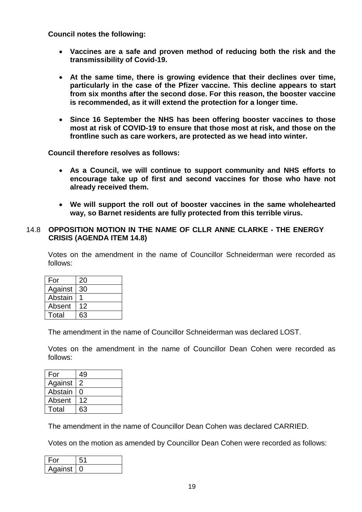**Council notes the following:** 

- **Vaccines are a safe and proven method of reducing both the risk and the transmissibility of Covid-19.**
- **At the same time, there is growing evidence that their declines over time, particularly in the case of the Pfizer vaccine. This decline appears to start from six months after the second dose. For this reason, the booster vaccine is recommended, as it will extend the protection for a longer time.**
- **Since 16 September the NHS has been offering booster vaccines to those most at risk of COVID-19 to ensure that those most at risk, and those on the frontline such as care workers, are protected as we head into winter.**

**Council therefore resolves as follows:** 

- **As a Council, we will continue to support community and NHS efforts to encourage take up of first and second vaccines for those who have not already received them.**
- **We will support the roll out of booster vaccines in the same wholehearted way, so Barnet residents are fully protected from this terrible virus.**

#### 14.8 **OPPOSITION MOTION IN THE NAME OF CLLR ANNE CLARKE - THE ENERGY CRISIS (AGENDA ITEM 14.8)**

Votes on the amendment in the name of Councillor Schneiderman were recorded as follows:

| For     | 20 |
|---------|----|
| Against | 30 |
| Abstain |    |
| Absent  | 12 |
| Total   | 63 |

The amendment in the name of Councillor Schneiderman was declared LOST.

Votes on the amendment in the name of Councillor Dean Cohen were recorded as follows:

| For     | 49 |
|---------|----|
| Against | 2  |
| Abstain | 0  |
| Absent  | 12 |
| Total   | 63 |

The amendment in the name of Councillor Dean Cohen was declared CARRIED.

Votes on the motion as amended by Councillor Dean Cohen were recorded as follows:

| -00     |  |
|---------|--|
| Against |  |